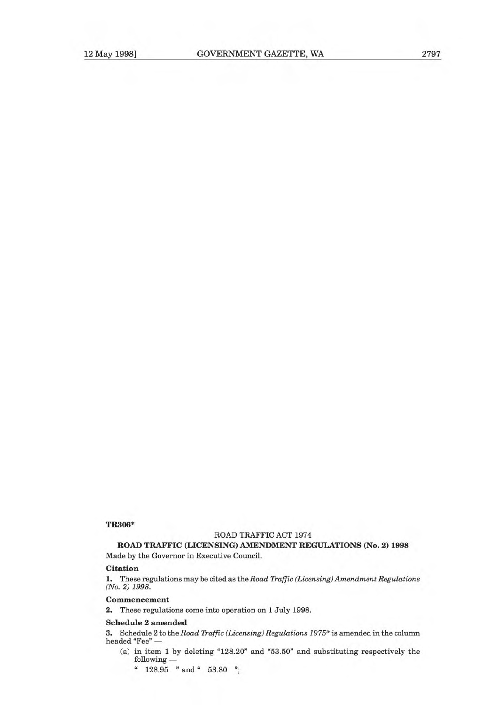#### **TR306\***

# **ROAD TRAFFIC ACT 1974**

**ROAD TRAFFIC (LICENSING) AMENDMENT REGULATIONS (No. 2) 1998** 

Made by the Governor in Executive Council.

# **Citation**

1. These regulations may be cited as the Road Traffic (Licensing) Amendment Regulations (No. 2) 1998.

#### **Commencement**

2. These regulations come into operation on 1 July 1998.

### **Schedule 2 amended**

3. Schedule 2 to the Road Traffic (Licensing) Regulations  $1975*$  is amended in the column headed "Fee" —

- (a) in item 1 by deleting "128.20" and "53.50" and substituting respectively the following —
	- " 128.95 " and" 53.80 ";